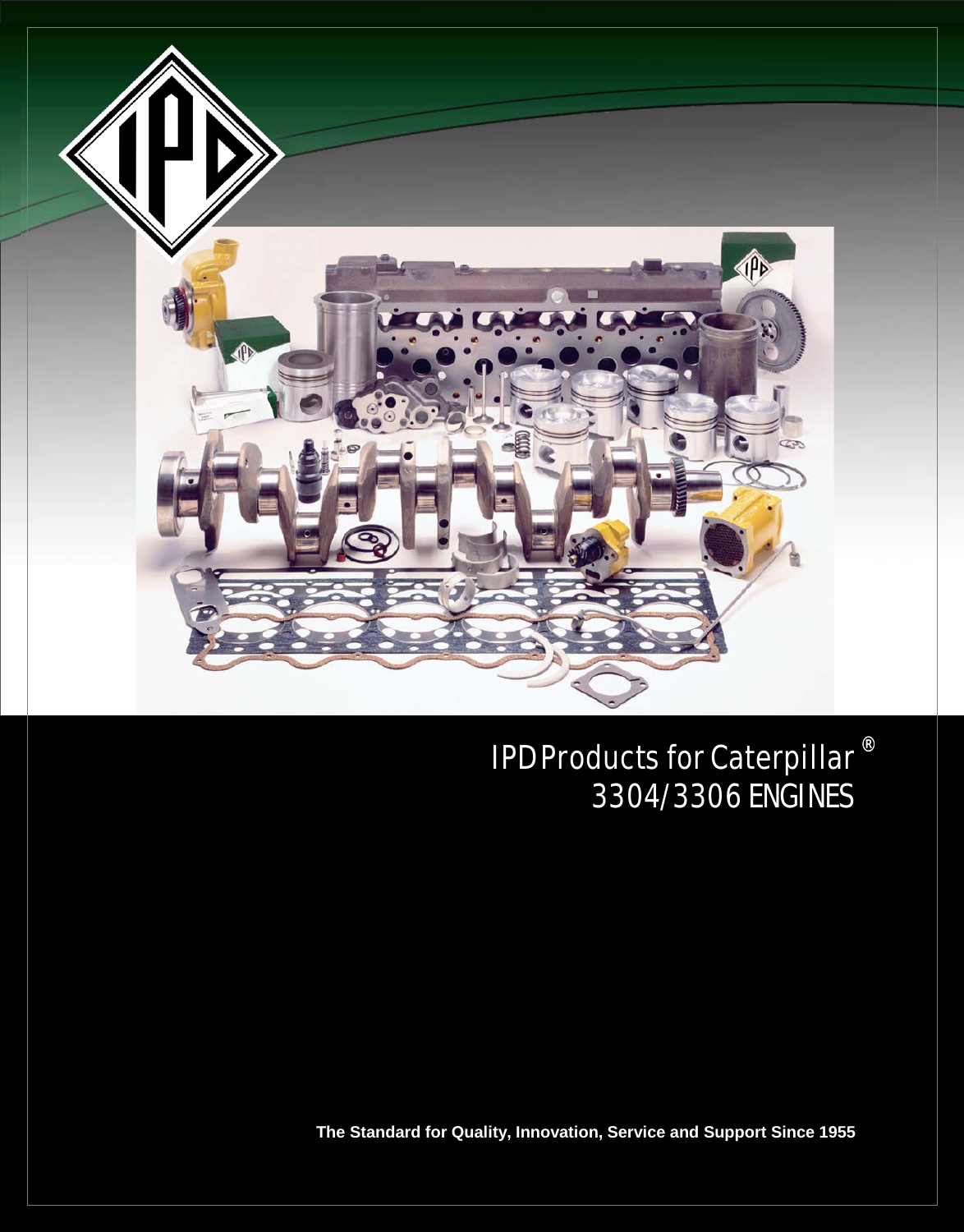

IPD Products for Caterpillar 3304/3306 ENGINES ®

**The Standard for Quality, Innovation, Service and Support Since 1955**